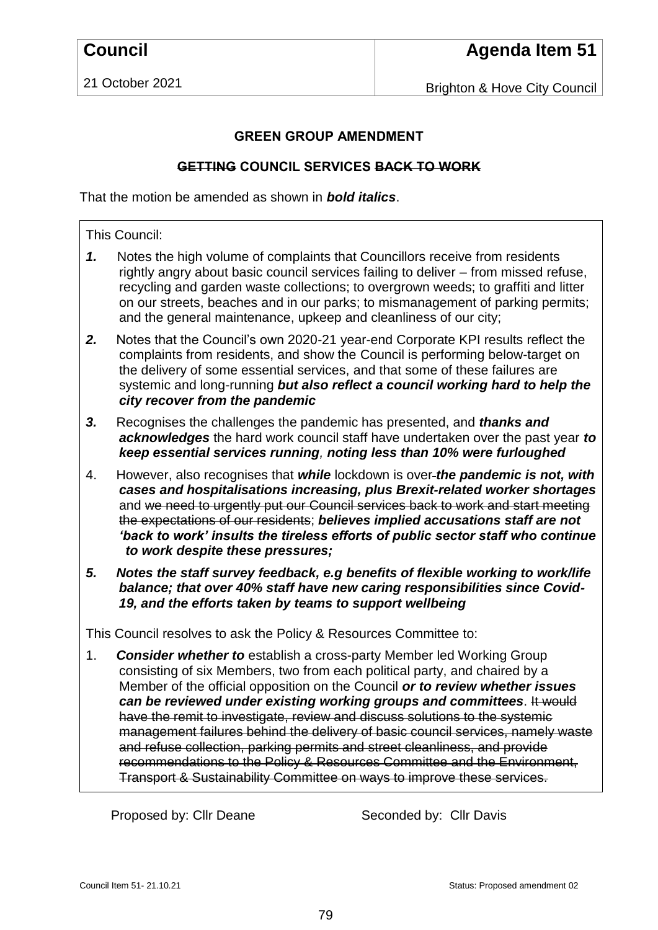21 October 2021

Brighton & Hove City Council

## **GREEN GROUP AMENDMENT**

## **GETTING COUNCIL SERVICES BACK TO WORK**

That the motion be amended as shown in *bold italics*.

## This Council:

- *1.* Notes the high volume of complaints that Councillors receive from residents rightly angry about basic council services failing to deliver – from missed refuse, recycling and garden waste collections; to overgrown weeds; to graffiti and litter on our streets, beaches and in our parks; to mismanagement of parking permits; and the general maintenance, upkeep and cleanliness of our city;
- *2.* Notes that the Council's own 2020-21 year-end Corporate KPI results reflect the complaints from residents, and show the Council is performing below-target on the delivery of some essential services, and that some of these failures are systemic and long-running *but also reflect a council working hard to help the city recover from the pandemic*
- *3.* Recognises the challenges the pandemic has presented, and *thanks and acknowledges* the hard work council staff have undertaken over the past year *to keep essential services running, noting less than 10% were furloughed*
- 4. However, also recognises that *while* lockdown is over *the pandemic is not, with cases and hospitalisations increasing, plus Brexit-related worker shortages* and we need to urgently put our Council services back to work and start meeting the expectations of our residents; *believes implied accusations staff are not 'back to work' insults the tireless efforts of public sector staff who continue to work despite these pressures;*
- *5. Notes the staff survey feedback, e.g benefits of flexible working to work/life balance; that over 40% staff have new caring responsibilities since Covid-19, and the efforts taken by teams to support wellbeing*

This Council resolves to ask the Policy & Resources Committee to:

1. *Consider whether to* establish a cross-party Member led Working Group consisting of six Members, two from each political party, and chaired by a Member of the official opposition on the Council *or to review whether issues can be reviewed under existing working groups and committees*. It would have the remit to investigate, review and discuss solutions to the systemic management failures behind the delivery of basic council services, namely waste and refuse collection, parking permits and street cleanliness, and provide recommendations to the Policy & Resources Committee and the Environment, Transport & Sustainability Committee on ways to improve these services.

Proposed by: Cllr Deane Seconded by: Cllr Davis